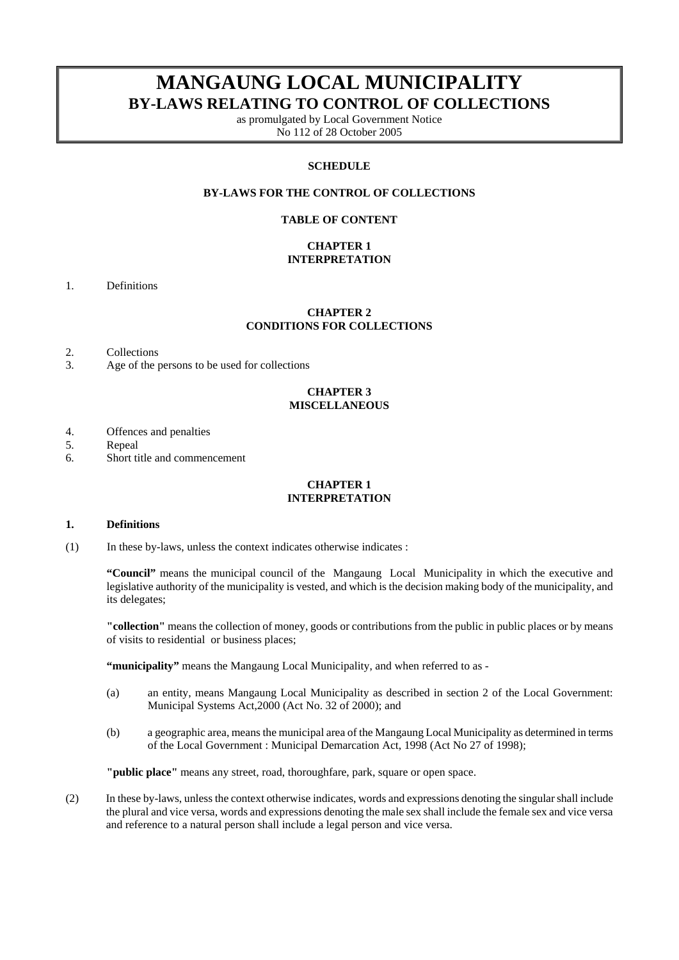# **MANGAUNG LOCAL MUNICIPALITY BY-LAWS RELATING TO CONTROL OF COLLECTIONS**

as promulgated by Local Government Notice No 112 of 28 October 2005

#### **SCHEDULE**

# **BY-LAWS FOR THE CONTROL OF COLLECTIONS**

#### **TABLE OF CONTENT**

## **CHAPTER 1 INTERPRETATION**

1. Definitions

## **CHAPTER 2 CONDITIONS FOR COLLECTIONS**

- 2. Collections
- 3. Age of the persons to be used for collections

# **CHAPTER 3 MISCELLANEOUS**

- 4. Offences and penalties
- 5. Repeal
- 6. Short title and commencement

# **CHAPTER 1 INTERPRETATION**

#### **1. Definitions**

(1) In these by-laws, unless the context indicates otherwise indicates :

**"Council"** means the municipal council of the Mangaung Local Municipality in which the executive and legislative authority of the municipality is vested, and which is the decision making body of the municipality, and its delegates;

**"collection"** means the collection of money, goods or contributions from the public in public places or by means of visits to residential or business places;

**"municipality"** means the Mangaung Local Municipality, and when referred to as -

- (a) an entity, means Mangaung Local Municipality as described in section 2 of the Local Government: Municipal Systems Act,2000 (Act No. 32 of 2000); and
- (b) a geographic area, means the municipal area of the Mangaung Local Municipality as determined in terms of the Local Government : Municipal Demarcation Act, 1998 (Act No 27 of 1998);

**"public place"** means any street, road, thoroughfare, park, square or open space.

(2) In these by-laws, unless the context otherwise indicates, words and expressions denoting the singular shall include the plural and vice versa, words and expressions denoting the male sex shall include the female sex and vice versa and reference to a natural person shall include a legal person and vice versa.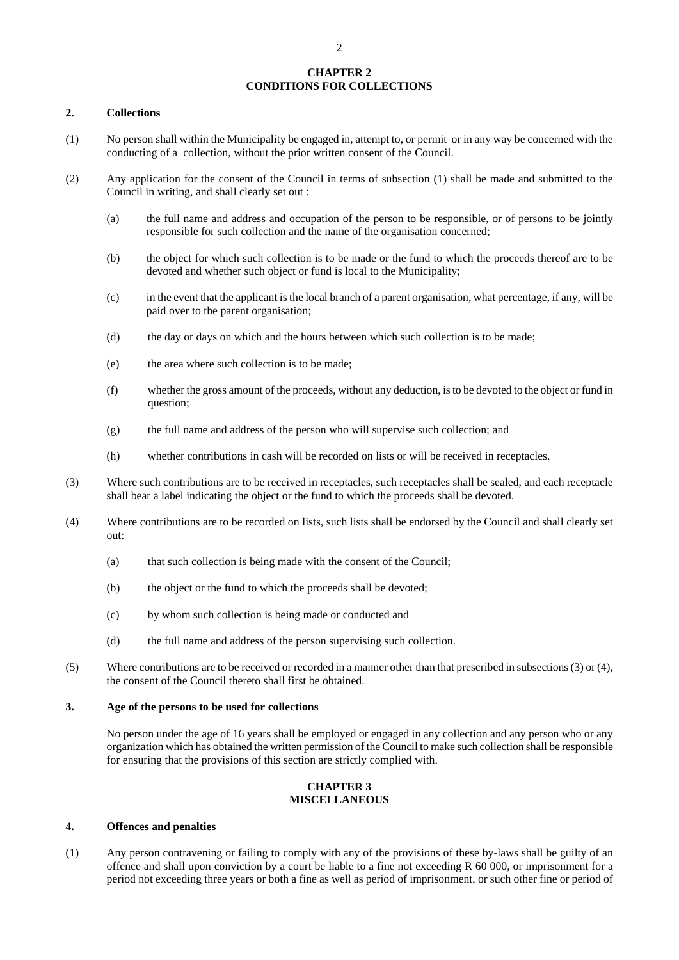## **CHAPTER 2 CONDITIONS FOR COLLECTIONS**

#### **2. Collections**

- (1) No person shall within the Municipality be engaged in, attempt to, or permit or in any way be concerned with the conducting of a collection, without the prior written consent of the Council.
- (2) Any application for the consent of the Council in terms of subsection (1) shall be made and submitted to the Council in writing, and shall clearly set out :
	- (a) the full name and address and occupation of the person to be responsible, or of persons to be jointly responsible for such collection and the name of the organisation concerned;
	- (b) the object for which such collection is to be made or the fund to which the proceeds thereof are to be devoted and whether such object or fund is local to the Municipality;
	- (c) in the event that the applicant is the local branch of a parent organisation, what percentage, if any, will be paid over to the parent organisation;
	- (d) the day or days on which and the hours between which such collection is to be made;
	- (e) the area where such collection is to be made;
	- (f) whether the gross amount of the proceeds, without any deduction, is to be devoted to the object or fund in question;
	- (g) the full name and address of the person who will supervise such collection; and
	- (h) whether contributions in cash will be recorded on lists or will be received in receptacles.
- (3) Where such contributions are to be received in receptacles, such receptacles shall be sealed, and each receptacle shall bear a label indicating the object or the fund to which the proceeds shall be devoted.
- (4) Where contributions are to be recorded on lists, such lists shall be endorsed by the Council and shall clearly set out:
	- (a) that such collection is being made with the consent of the Council;
	- (b) the object or the fund to which the proceeds shall be devoted;
	- (c) by whom such collection is being made or conducted and
	- (d) the full name and address of the person supervising such collection.
- (5) Where contributions are to be received or recorded in a manner other than that prescribed in subsections (3) or (4), the consent of the Council thereto shall first be obtained.

## **3. Age of the persons to be used for collections**

 No person under the age of 16 years shall be employed or engaged in any collection and any person who or any organization which has obtained the written permission of the Council to make such collection shall be responsible for ensuring that the provisions of this section are strictly complied with.

#### **CHAPTER 3 MISCELLANEOUS**

#### **4. Offences and penalties**

(1) Any person contravening or failing to comply with any of the provisions of these by-laws shall be guilty of an offence and shall upon conviction by a court be liable to a fine not exceeding R 60 000, or imprisonment for a period not exceeding three years or both a fine as well as period of imprisonment, or such other fine or period of